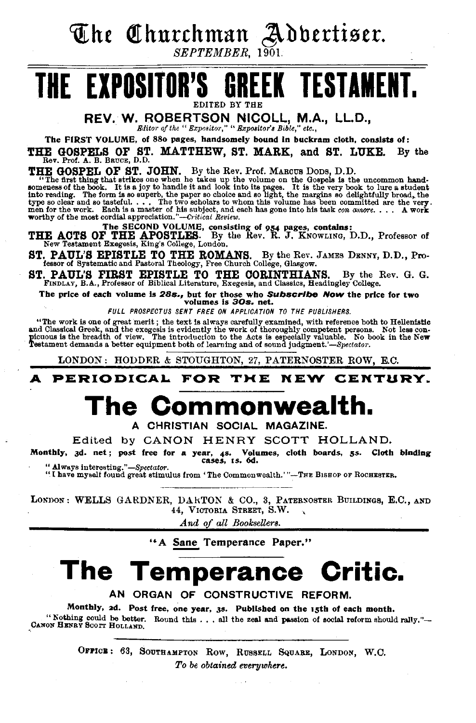~he Qthnrthman ~bbtrti9tr. *SEPTEMBER,* 1901.

## **THE EXPOSITOR'S GREEK TESTAMENT.** EDITED BY THE

REV. W. ROBERTSON NICOLL, M.A., LL.D., *Bditm· of the" Expositor,"* h *Expositor's Bible," etc.,* 

The FIRST VOLUME, of 88o pages, handsomely bound in buckram cloth, consists of:

THE GOSPELS OF ST. MATTHEW, ST. MARK, and ST. LUKE. By the Rev. Prof. A. B. BRUCE, D.D.

**THE GOSPEL OF ST. JOHN.** By the Rev. Prof. MARCUS DODS, D.D.<br>"The first thing that startkes one when he takes up the volume on the Gospels is the uncommon hand-<br>someness of the book. It is a joy to handle it and look int

THE ACTS OF The SECOND VOLUME, consisting of 954 pages, contains:<br>THE ACTS OF THE APOSTLES. By the Rev. R. J. KNOWLING, D.D., Professor of<br>New Testament Exegesis, King's College, London.

ST. PAUL'S EPISTLE TO THE ROMANS. By the Rev. JAMES DENNY, D.D., Pro-fessor of Systematic and Pastoral Theology, Free Church College, Glasgow.

ST. PAUL'S FIRST EPISTLE TO THE CORINTHIANS. By the Rev. G. G. FINDLAY, B.A., Professor of Biblical Literature, Exegesis, and Classics, Headingley College.

The price of each volume is 28s., but for those who Subscribe Now the price for two volumes is 30s. net.

*FULL PROSPECTUS SENT FREE ON APPLICATION TO THE PUBLISHERS.* 

"The work is one of great merit; the text is always carefully examined, with reference both to Hellenistic and Classical Greek, and the exergesis is evidently the work of thoroughly competent persons. Not less con-<br>pleuous is the breakth of the exerges of the case of the set of the set of the set of the breakth of the set of th

LONDON: HODDER & STOUGHTON, 27, PATERNOSTER ROW, E.C.

A PERIODICAL FOR THE NEW CENTURY.

## **The Commonwealth.**

A CHRISTIAN SOCIAL MAGAZINE.

Edited by CANON HENRY SCOTT HOLLAND.

Monthly, 3d. net; post free for a year, 48· Volumes, cloth boards, *ss.* Cloth binding cases, 1s. 6d.

" Always interesting."-Spectator. "I have myself found great stimulus from 'The Commonwealth.'"-THE BISHOP OF ROCHESTER.

LONDON: WELLS GARDNER, DARTON & CO., 3, PATERNOSTER BUILDINGS, E.C., AND 44, VICTORIA STREET, S.W.

*And of all Booksellers.* 

"A Sane Temperance Paper."

## **The Temperance Critic.**

AN ORGAN OF CONSTRUCTIVE REFORM.

Monthly, 2d. Post free, one year, 3s. Published on the 15th of each month. " Nothing could be better. Round this ... all the zeal and passion of social reform should rally."--<br>CANON HENRY SCOTT HOLLAND.

> OFFICE: 63, SOUTHAMPTON ROW, RUSSELL SQUARE, LONDON, W.C. *To be obtained everywhere.*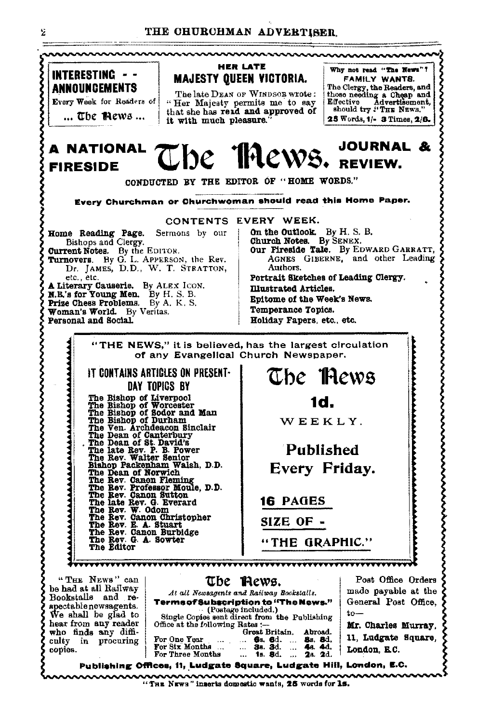

"THE NEWS" inserts domestic wants, 25 words for 1s.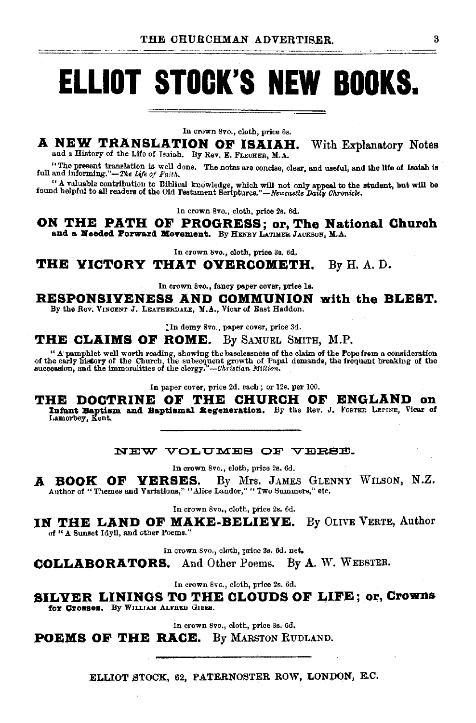# **ELLIOT STOCK'S NEW BOOKS.**

In crown 8vo., cloth, price 6s.

A NEW TRANSLATION OF ISAIAH. With Explanatory Notes and a History of the Life of Isaiah. By Rev. E. FLECKER, M.A.

"The present translation is well done. The notes are concise, clear, and useful, and the life of Isaiah is full and informing."-The Life of Faith.

"A valuable contribution to Biblical knowledge, which will not only appeal to the student, but will be found helpful to all readers of the Old Testament Scriptures."—Newcastle Daily Chronick.

In crown 8vo., cloth, price 2s. 6d.

ON THE PATH OF PROGRESS; or, The National Church and a Needed Porward Movement. By HENRY LATIMER JACKSON, M.A.

In crown 8vo., cloth, price 3s. 6d.

THE VICTORY THAT OVERCOMETH.  $By H. A. D.$ 

In crown 8vo., fancy paper cover, price ls.

RESPONSIVENESS AND COMMUNION with the BLEST.

By the Rev. VINCENT J. LEATHERDALE, M.A., Vicar of East Haddon.

In demy 8vo., paper cover, price 3d.

### **THE CLAIMS OF ROME.** By SAMUEL SMITH, M.P.

" A pamphlet well worth reading, showing the baselessness of the claim of the Pope from a consideration of the early history of the Church, the subsequent growth of Papal demands, the frequent breaking of the succession,

In paper cover, price 2d. each; or 12s. per 100.

THE DOCTRINE OF THE CHURCH OF ENGLAND on Infant Baptism and Baptismal Regeneration. By the Rev. J. FOSTER LEFINE, Vicar of Lamorbey, Kent.

### NEW VOLUMES OF VERSE.

In crown 8vo., cloth, price 2s. 6d.

A BOOK OF VERSES. By Mrs. JAMES GLENNY WILSON, N.Z. Author of "Themes and Variations," "Alice Landor," "Two Summers," etc.

In crown 8vo., cloth, price 2s. 6d.

IN THE LAND OF MAKE-BELIEVE. By OLIVE VERTE, Author of " A Sunset Idyll, and other Poems."

In crown 8vo., cloth, price 3s. 6d. net.

**COLLABORATORS.** And Other Poems. By A. W. WEBSTER.

In crown 8vo., cloth, price 2s. 6d.

SILVER LININGS TO THE CLOUDS OF LIFE; or, Crowns for Crosses. By WILLIAM ALFRED GIBBS.

In crown 8vo., cloth, price 3s. 6d.

**POEMS OF THE RACE.** By MARSTON RUDLAND.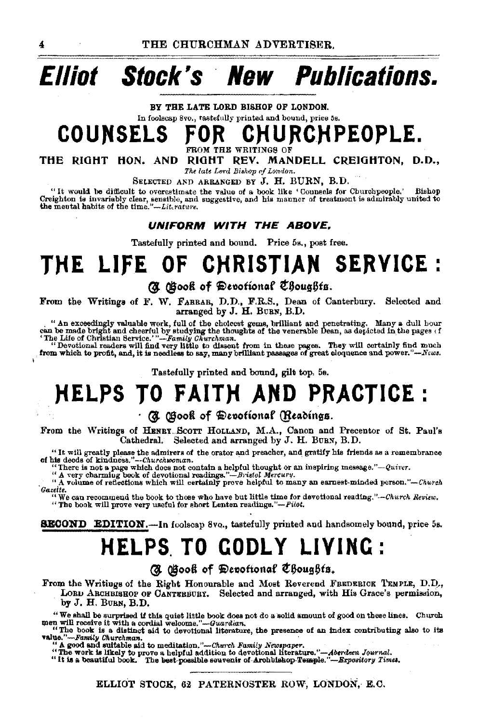# **Elliot Stock's New Publications.**

BY THE LATE LORD BISHOP OF LONDON.

## In foolscap Svo., tastefully printed and bound, price 5s. COUNSELS FOR CHURCHPEOPLE.

THE RIGHT HON. AND RIGHT REV. MANDELL CREIOHTON, D.D.,

*The late Lor<! Bi•hap vf London.* 

SELECTED AND ARRANGED BY J. H. BURN, B.D.  $\degree$  it would be difficult to overestimate the value of a book like 'Gouneals for Churchpeople.' "It would be difficult to overestimate the value of a book like 'Counsels for Churchpeople." Bishop Creighton is invariably clear, sensible, and his manner of treatment is admirably united to the mental bis members and hi

### UNIFORM WITH THE ABOVE.

Tastefully printed and bound. Price 5s., post free.

## **THE LIFE OF CHRISTIAN SERVICE** :

(d) (Book of Devotional Choughts.

From the Writings of F. W. FARRAR, D.D., F.R.S., Dean of Canterbury. Selected and arranged by J. H. BURN, B.D.

" An exceedingly valuable work, full of the choicest gems, brilliant and penetrating. Many a dull hour can be made bright and cheerful by studying the thoughts of the venerable Dean, as depicted in the pages of "The Life

Tastefully printed and bound, gilt top. 5s.

## **NELPS TO FAITH AND PRACTICE:**

### $\cdot$  (H  $\,$   $\,$   $\,$   $\otimes$   $\,$   $\otimes$  of  $\,$   $\,$   $\otimes$   $\otimes$   $\otimes$   $\otimes$   $\otimes$   $\otimes$   $\otimes$   $\otimes$   $\otimes$   $\otimes$   $\otimes$   $\otimes$   $\otimes$   $\otimes$   $\otimes$   $\otimes$   $\otimes$   $\otimes$   $\otimes$   $\otimes$   $\otimes$   $\otimes$   $\otimes$   $\otimes$   $\otimes$   $\otimes$   $\otimes$   $\otimes$

From the Writings of HENBY ... SCOTT HOLLAND, M.A., Canon and Precentor of St. Paul's Cathedral. Selected and arranged by J. H. BURN, B.D.

"It will greatly please the admirers of the orator and preacher, and gratify his friends as a remembrance of his deeds of kindness." --Churchwoman.

There is not a page which does not contain a helpful thought or an inspiring message."-Quiver.<br>"A very charming book of devotional readings."-Bristol Mercury.<br>"A volume of reflections which will certainly prove helpful to *Gazette.* 

"We can recommend the book to those who have but little time for devotional reading."-Ohurch *Review.*   $"$  The book will prove very useful for short Lenten readings."- $Pilot$ .

**SECOND** EDITION.-In foolscap 8vq., tastefully printed and handsomely bound, price 5s.

## **HELPS TO GODLY LIVING:**

### (J. Gook of Devotional Choughts.

From the Writings of the Right Honourable and Most Reverend FREDERICK TEMPLE, D.D., LORU ARCHBISHOP OF CANTERBURY. Selected and arranged, with His Grace's permission, by J. H. BUBN, B.D.

We shall be surprised if this quiet little book does not do a solid amount of good on these lines. Church men will receive it with a cordial welome."—Guardian,<br>men will receive it with a cordial welome."—Guardian, the pre

value."-Family Churchman.<br>"A good and suitable aid to meditation."-Church Family Newspaper.<br>"The work is likely to prove a helpful addition to devotional literature."-Aberdeen Journal.<br>"It is a beautiful book. The best po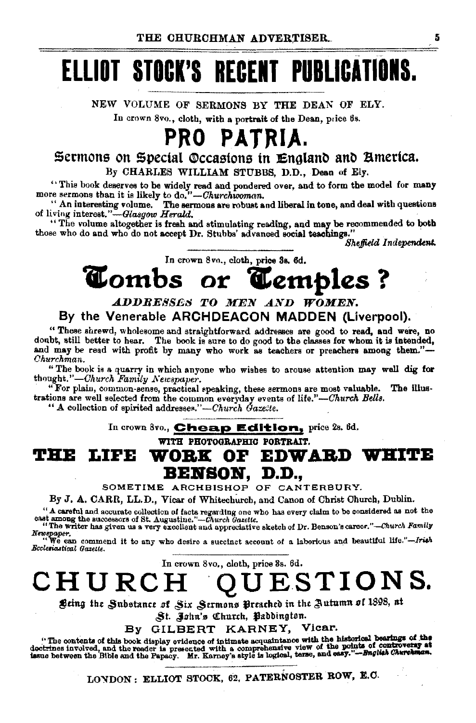# ELLIOT STOCK'S REGENT PUBLICATIONS.

NEW VOLUME OF SERMONS BY THE DEAN OF ELY. In crown 8vo., cloth, with a portrait of the Dean, price 6s.

## PRO PATRIA.

## Sermons on Special ®ccastons tn :£nglanl> ant> Bmetica.

By CHARLES WILLIAM STUBBS, D.D., Dean of Ely.

''This book deserves to be widely read and pondered over, and to form the model for many more sermons than it is likely to do,"-*-Churchwoman*.<br>"An interesting volume. The sermons are robust and liberal in tone, and deal w

The sermons are robust and liberal in tone, and deal with questions of living interest."-Glasgow Herald.

"The volume altogether is fresh and stimulating reading, and may be recommended to both those who do and who do not accept Dr. Stubbs' advanced social teachings."

*Sheffield Independent.* 

In crown 8vo., cloth, price 3s. 6d.

## Tombs or Temples?

### ADDRESSES TO MEN AND WOMEN. By the Venerable ARCHDEACON MADDEN (Liverpool).

"These shrewd, wholesome and straightforward addresses are good to read. and were, no doubt, still better to hear. The book is sure to do good to the classes for whom it is intended, and may be read with profit by many who work as teachers or preachers among them."-*Churchman.* 

"The book is a quarry in which anyone who wishes to arouse attention may well dig for thought."-Church Family Newspaper.

"For plain, common·sense, practical speaking, these sermons are most valuable. The Ulus· trations are well selected from the common everyday events of *life.''-Church Bella.* 

"A collection of spirited addresses."-Church Gazette.

In crown Svo., Cheap Edition, price 2s. 6d.

WITH PHOTOGRAPHIC PORTRAIT.

THE LIFE WORK OF EDWARD WHITE BBITSOB, D.D.,

SOMETIME ARCHBISHOP OF CANTERBURY.

By J. A. CARR, LL.D., Vicar of Whitechurch, and Canon of Christ Church, Dublin.

"A careful and accurate collection of facts regarding one who has every claim to be considered as not the east among the successors of St. Augustine." $-$ Church Gazelle.

"The writer has given us a very excellent and appreciative sketch of Dr. Benson's career."-Church Family

*Newspaper.*<br>
"We can commend it to any who desire a succinct account of a laborious and beautiful life."-Irish<br>Bccleriastical Gazette.

In crown 8vo., cloth, price 3s. 6d.

CHURCH 'QUESTIONS.

 $^{p}$  *S*ting the Substance of Six Sermons Preached in the Autumn of 1898, at

St. John's Church, Paddington.

By GILBERT KARNEY, Vicar.

Eyer South 2 Charters, processing F. Victor.<br>"The contents of this book display evidence of intimate acquaintance with the historical bearings of the<br>doctrines involved, and the reader is presented with a comprehensive vie

LONDON: ELLIOT STOCK, 62, PATERNOSTER ROW, E.C.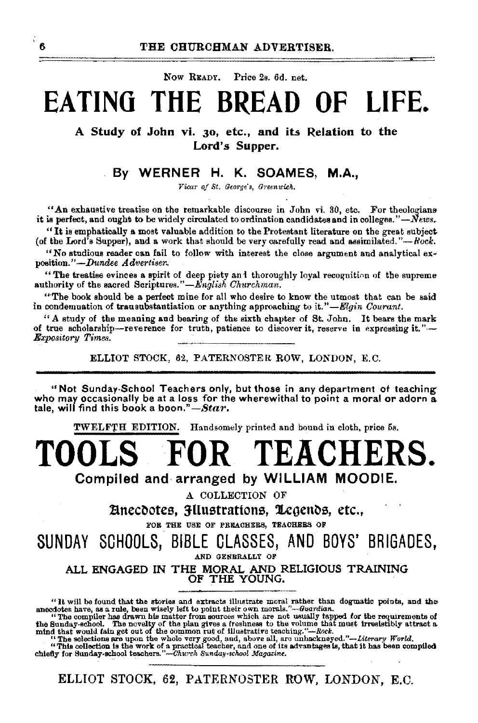Now READY. Price 2s. 6d. net.

## **EA TINO THE BREAD OF LIFE.**

A Study of John vi. 30, etc., and its Relation to the Lord's Supper.

### By WERNER H. K. SOAMES, M.A.,

*Vicar of St. George's, Greenwich.* 

"An exhaustive treatise on the remarkable discourse in John vi. 30, etc. For theologians it is perfect, and ought to be widely circulated to ordination candidates and in colleges," $-\vec{N}$ ews.

"It is emphatically a most valuable addition to the Protestant literature on the great subject (of the Lord's Supper), and a work that should be very carefully read and assimilated." $-Rock$ .

"No studious reader can fail to follow with interest the close argument and analytical exposition."-Dundee Advertiser.

"The treatise evinces a spirit of deep piety and thoroughly loyal recognition of the supreme authority of the sacred Scriptures."—*English Churchman*.

"'The book should be a perfect mine for all who desire to know the utmost that can be said in condemnation of transubstantiation or anything approaching to *it."-Elgin Courant.* 

"A study of the meaning and bearing of the sixth chapter of St. John. It bears the mark of true scholarship-reverence for truth, patience to discover it, reserve in expressing it."-*Expo8itory Times.* 

ELLIOT STOCK, 62, PATERNOSTER ROW, LONDON, E.C.

"Not Sunday-School Teachers only, but those in any department of teaching who may occasionally be at a loss for the wherewithal to point a moral or adorn a tale, will find this book a *boon."*—*Star.* 

TWELF'fH EDITION. Handsomely printed and bound in cloth, price 5s.

## **TOOLS FOR TEACHERS.**  Compiled and, arranged by WILLIAM MOODIE.

A COLLECTION OF

Bnecdotes, HIustrations, Legends, etc., Equal Ton The USE OF PREACHERS, TEACHERS OF

SUNDAY SCHOOLS, BIBLE GLASSES, AND BOYS' BRIGADES, AND GENERALLY OF

ALL ENGAGED IN THE MORAL AND RELIGIOUS TRAINING OF THE YOUNG.

"This collection Is the work of a practicel teacher, and one of its advantages is, that it has been compiled chiefly for Sunday-school teachers."-Church Sunday-school Magazine.

<sup>&</sup>quot;It will be found that the stories and extracts illustrate moral rather than dogmathe points, and the anecdotes have, as a rule, been wisely left to point their own morals."—Guardian, "from surface the parameter of the so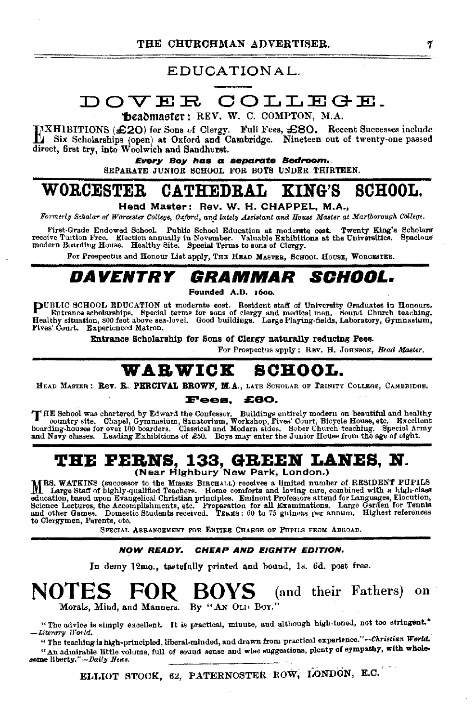### EDUCATIONAL.

## DOVER COLLEGE.

headmaster: REV. W. C. COMPTON, M.A.

HIBITIONS (£20) for Sons of Clergy. Full Fees, £80. Recent Successes include I Six Scholarships (open) at Oxford and Cambridge. Nineteen out of twenty-one passed direct, first try, into Woolwich and Sandhurst.

Every Boy has a separate Bedroom. SEPARATE JUNIOR SCHOOL FOR BOTS UNDER THIRTEEN.

#### **WORCESTER** KING'S **SCHOOL. CATHEDRAL**

Head Master: Rev. W. H. CHAPPEL, M.A.,

Formerly Scholar of Worcester College, Oxford, and lately Assistant and House Master at Mariborough College.

First-Grade Endowed School. Public School Education at moderate cost. Twenty King's Scholars receive Tuition Free. Election annually in November. Valuable Exhibitions at the Universities. Spacious modern Boarding House. Healthy Site. Special Terms to sons of Clergy.

For Prospectus and Honour List apply, THE HEAD MASTER, SCHOOL HOUSE, WORCESTER.

#### GRAMMAR *Aventry SCHOOL.*

Founded A.D. 1600.

PUBLIC SCHOOL EDUCATION at moderate cost. Resident staff of University Graduates in Honours.<br>Entrance scholarships. Special terms for sons of clergy and medical men. Sound Church teaching.<br>Healthy situation, 800 feet above Fives' Court. Experienced Matron.

Entrance Scholarship for Sons of Clergy naturally reducing Fees.

For Prospectus apply: REV. H. JOHNSON. Head Master.

## WARWICK SCHOOL.

HEAD MASTER : Rev. R. PERCIVAL BROWN, M.A., LATE SCHOLAR OF TRINITY COLLEGE, CAMBRIDGE.

#### £60. Fees.

THE School was chartered by Edward the Confessor. Buildings entirely modern on beautiful and healthy country site. Chapel, Gymnasium, Sanatorium, Workshop, Fives' Court, Bicycle House, etc. Excellent boarding-houses for ov and Navy classes. Leading Exhibitions of £50. Bove may enter the Junior House from the age of eight.

## THE FERNS, 133, GREEN LANES, N.<br>(Near Highbury New Park, London.)

MRS. WATKINS (successor to the MISSES BIECHALL) receives a limited number of RESIDENT PUPILS I. Large Staff of highly-qualified Teachers. Home comforts and loving care, combined with a high-class The magnitude of the magnitude of the magnitude of the magnitude of the magnitude of the state of the state of the state of the state of the state of the state of the state of the state of the state of the state of the sta to Clergymen, Parents, etc.

SPECIAL ARRANGEMENT FOR ENTIRE CHARGE OF PUPILS FROM ABROAD.

#### CHEAP AND EIGHTH EDITION. NOW READY.

In demy 12mo., tastefully printed and bound, 1s. 6d. post free.

#### **NOTES BOYS** (and their Fathers) on Morals, Mind, and Manners. By "AN OLD BOY."

"The advice is simply excellent. It is practical, minute, and although high-toned, not too stringent." -Literary World.

"The teaching is high-principled, liberal-minded, and drawn from practical experience."-Christian World. "An admirable little volume, full of sound sense and wise suggestions, plenty of sympathy, with wholesome liberty."-Daily News.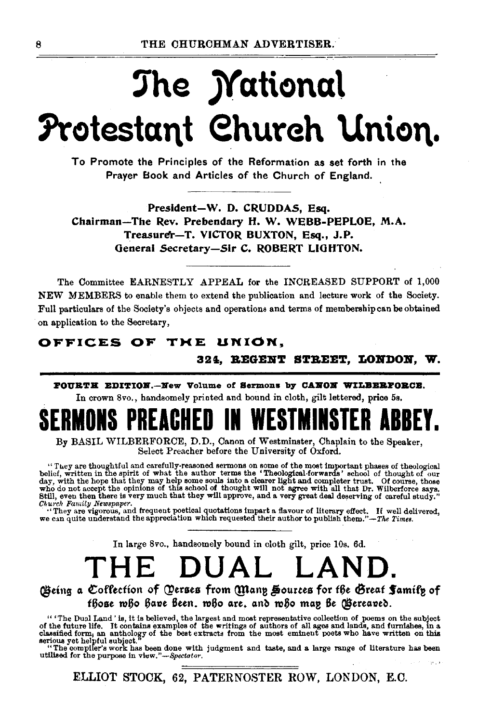# The Mational Protestant Church Union.

To Promote the Principles of the Reformation as set forth in the Praver Book and Articles of the Church of England.

President-W. D. CRUDDAS, Esq. Chairman-The Rev. Prebendary H. W. WEBB-PEPLOE, M.A. Treasurer-T. VICTOR BUXTON, Esq., J.P. General Secretary-Sir C. ROBERT LIGHTON.

The Committee EARNESTLY APPEAL for the INCREASED SUPPORT of 1.000 NEW MEMBERS to enable them to extend the publication and lecture work of the Society. Full particulars of the Society's objects and operations and terms of membership can be obtained on application to the Secretary,

### OFFICES OF THE UNION.

324. REGENT STREET. LONDON. W.

FOURTH EDITION.--New Volume of Sermons by CANON WILBERFORCE. In crown 8vo., handsomely printed and bound in cloth, gilt lettered, price 5s.

By BASIL WILBERFORCE, D.D., Canon of Westminster, Chaplain to the Speaker. Select Preacher before the University of Oxford.

"They are thoughtful and carefully-reasoned sermons on some of the most important phases of theological belief, written in the spirlt of what the author terms the 'Theological-forwards' school of thought of our day, with Church Family Newspaper.

"They are vigorous, and frequent poetical quotations impart a flavour of literary effect. If well delivered, we can quite understand the appreciation which requested their author to publish them."-The Times.

In large 8vo., handsomely bound in cloth gilt, price 10s. 6d.

### THE DUAL LAND

(Being a Coffection of Qerses from Many Sources for the Great Samily of fhose mho have been, mho are, and mho map be (Bereaved.

"The Dual Land' is, it is believed, the largest and most representative collection of poems on the subject of the future life. It contains examples of the writings of authors of all ages and lands, and furnishes, in a cla

utilised for the purpose in view."-Spectator.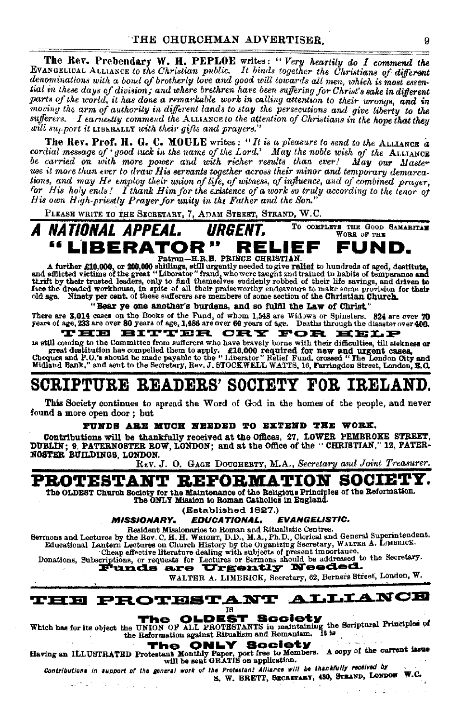The Rev. Prebendary W. H. PEPLOE writes: "Very heartily do I commend the EVANGELICAL ALLIANCE to the Christian public. It binds together the Christians of different denominations with a bond of brotherly love and good will towards all men, which is most essential in these days of division; and where brethren have been suffering for Christ's sake in different parts of the world, it has done a remarkable work in calling attention to their wrongs, and in moving the arm of authority in different lands to stay the persecutions and give liberty to the sufferers. I earnestly commend the ALLIANCE to the attention of Christians in the hope that they will support it LIBERALLY with their gifts and prayers."

The Rev. Prof. H. G. C. MOULE writes: "It is a pleasure to send to the ALLIANCE a cordial message of 'yood tuck in the name of the Lord.' May the noble wish of the ALLIANCE be carried on with more power and with richer results than ever! May our Master use it more than ever to draw His servants together across their minor and temporary demarcations, and may He employ their union of life, of witness, of influence, and of combined prayer, for His holy ends! I thank Him for the existence of a work so truly according to the tenor of His own High-priestly Prayer for unity in the Father and the Son."

PLEASE WRITE TO THE SECRETARY, 7, ADAM STREET, STRAND, W.C.

TO COMPLETE THE GOOD SAMARITAN A NATIONAL APPEAL. URGENT. WORK OF THE "LIBERATOR" FUND. RELIEF Patron-H.R.H. PRINCE CHRISTIAN

A further £10,000, or 200,000 shillings, still urgently needed to give relief to hundreds of aged, destitute, and a fillucted victims of the great "Liberator" fraud, who were taught and trained bin habits of temperance and old age. Ninety per cent. of these sufferers are members of some section of the Christian Church.

"Bear ye one another's burdens, and so fulfil the Law of Christ," There are 3.014 cases on the Books of the Fund, of whom 1,548 are Widows or Spinsters. 324 are over 70 years of age, 233 are over 80 years of age, 1,486 are over 60 years of age. Deaths through the disaster over 400.

#### 'HE BITTER CRY FOR HELP

is still coming to the Committee from sufferers who have bravely borne with their difficulties, till slekness or 18 SEU coming to the commutee from subseters who have bravely both to with their dimensions, and argest desituation has compelled them to apply. £10,000 required for new and urgent cases, Cheques and P.O.'s should be made

## SCRIPTURE READERS' SOCIETY FOR IRELAND.

This Society continues to spread the Word of God in the homes of the people, and never found a more open door; but

### PUNDS ARE MUCH NEEDED TO EXTEND THE WORK.

Contributions will be thankfully received at the Offices, 27, LOWER PEMBROKE STREET, DUBLIN; 9, PATERNOSTER ROW, LONDON; and at the Office of the "CHRISTIAN," 12, PATER-**NOSTER BUILDINGS LONDON.** 

REV. J. O. GAGE DOUGHERTY, M.A., Secretary and Joint Treasurer.

### **ROTESTANT REFORMATION SOCIETY.**

The OLDEST Church Society for the Maintenance of the Religious Principles of the Reformation. The ONLY Mission to Roman Catholics in England.

(Established 1827.)

**MISSIONARY.** EDUCATIONAL, **FVANGELISTIC.** 

Resident Missionaries to Roman and Ritualistic Centres.

Sermons and Lectures by the Bev. C. H. H. WRIGHT, D. D., M.A., Ph. D., Clorical and General Superintendent.<br>Educational Lantern Lectures on Church History by the Organizing Secretary, WALTER A. LIMBRICS.

Cheap effective literature dealing with subjects of present importance.<br>Donations, Subscriptions, or requests for Lectures or Sermons should be addressed to the Secretary.<br>
Funds are Urgently Needed.

WALTER A. LIMBRICK, Secretary, 62, Berners Street, London, W.



**The OLDEST Scolety**<br>Which has for its object the UNION OF ALL PROTESTANTS in maintaining the Scriptural Principles of

Having an ILLUSTRATED Protestant Monthly Paper, post free to Members. A copy of the current issue will be sent GRATIS on application.

Contributions in support of the general work of the Protestant Alliance will be thankfully received by S. W. BRETT, SECRETARY, 430, STRAND, LONDON W.C. in dorming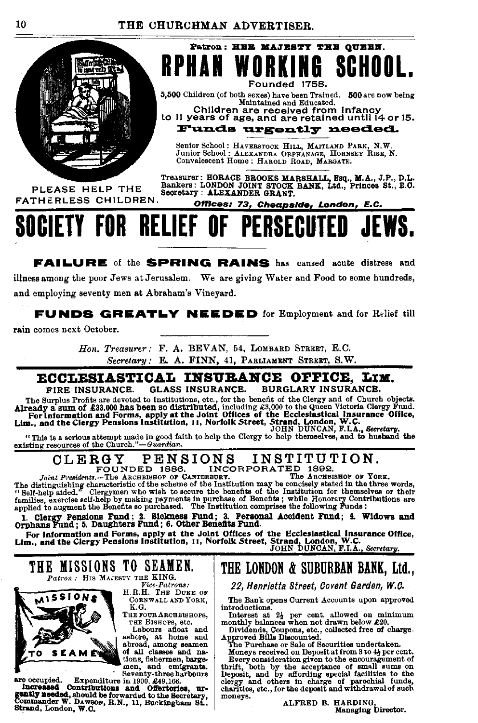

PLEASE HELP THE **FATHERLESS CHILDREN** 

Treasurer: HORACE BROOKS MARSHALL, Esq., M.A., J.P., D.L. Bankers: LONDON JOINT STOCK BANK, Ltd., Princes St., E.O. Secretary : ALEXANDER GRANT.

Patron: HER MAJESTY THE QUEEN.

Founded 1758. 5,500 Children (of both sexes) have been Trained. 500 are now being Maintained and Educated. Children are received from Infanct to 11 years of age, and are retained until 14 or 15. Funds urgently needed. Senior School: HAVERSTOCK HILL, MAITLAND PARK, N.W.<br>Junior School: ALEXANDRA ORPHANAGE, HORNSEY RISE, N.

Offices: 73, Cheapside, London, E.C.

Convalescent Home: HAROLD ROAD, MARGATE.

#### RELIEF OR OF PERSEGI **!!! E!!!**

**FAILURE** of the **SPRING RAINS** has caused acute distress and illness among the poor Jews at Jerusalem. We are giving Water and Food to some hundreds, and employing seventy men at Abraham's Vineyard.

**FUNDS GREATLY NEEDED** for Employment and for Relief till

rain comes next October.

Hon. Treasurer: F. A. BEVAN, 54, LOMBARD STREET, E.C. Secretary: E. A. FINN, 41, PARLIAMENT STREET, S.W.

## ECCLESIASTICAL INSURANCE OFFICE. LIM.

**GLASS INSURANCE.** BURGLARY INSURANCE. FIRE INSURANCE.

The Surplus Profits are devoted to Institutions, etc., for the benefit of the Clergy and of Church objects. The Surplus Fronts are devoted to instatutions, etc., for the ceneral of the Clergy and of  $\pm$ 33,000 has been so distributed, including  $\pm$ 3,000 to the Queen Victoria Clergy Fund.<br>For Information and Forms, apply at the

#### INSTITUTION. CLERGY PENSIONS INCORPORATED 1892. FOUNDED 1886.

Joint Presidents.-The ARCHBISHOP OF CANTERBURY.

The ARCHBISHOP OF YORK. The distinguishing characteristic of the sheme of the Institution may be concisented of the such as well as well as the method of the sheme of the Institution for themselves or their families, exercise self-help by making

1. Clergy Pensions Fund; 2. Sickness Fund; 3. Personal Accident Fund; 4. Widows and Orphans Fund; 5. Daughters Fund; 6. Other Benefits Fund.

Orphans rund; v. Dauguwas rund; v. Denter Delayer and Corner and Forms, apply at the Joint Offices of the Ecclesiastical Insurance Office,<br>Lim., and the Clergy Pensions Institution, 11, Norfolk Street, Strand, London, W.C.

### THE MISSIONS TO SEAMEN. Patron: HIS MAJESTY THE KING.



Vice-Patrons:<br>H.R.H. THE DUKE OF CORNWALL AND YORK,

K.G. THE FOUR ARCHBISHOPS, THE BISHOPS, etc.<br>Labours afloat and

ashore, at home and abroad, among seamen of all classes and nations, fishermen, bargemen, and emigrants. Seventy-three harbours

are occupied. Expenditure in 1900, 249,166.<br>
Increased Contributions and Offertories, ure-<br>
gently needed, should be forwarded to the Secretary,<br>
Commander W. Davgow, R.N., 11, Buckingham St.,<br>
Commander W. Davgow, R.N., 1 Strand, London, W.C.

## THE LONDON & SUBURBAN BANK, Ltd.,

22, Henrietta Street, Covent Garden, W.C.

The Bank opens Current Accounts upon approved introductions.

Interest at 2<sup>1</sup> per cent. allowed on minimum<br>monthly balances when not drawn below £20.

Dividends, Coupons, etc., collected free of charge.<br>Dividends, Coupons, etc., collected free of charge.<br>Approved Bills Discounted.<br>The Purchase or Sale of Securities undertaken.

Moneys received on Deposit at from 3 to 4} per cent.

Every consideration given to the encouragement of thrift, both by the acceptance of small sums on<br>Deposit, and by affording special facilities to the<br>clergy and others in charge of parochial funds,<br>charities, etc., for the deposit and withdrawal of such moneys.

ALFRED B. HARDING Managing Director.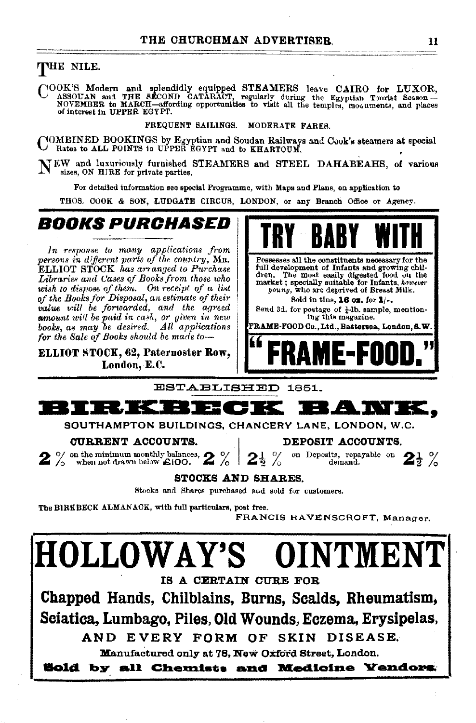### THE NILE.

COOK'S Modern and splendidly equipped STEAMERS leave CAIRO for LUXOR, ASSOUAN and THE SECOND CATARACT, regularly during the Egyptian Tourist Season – NOVEMBER to MARCH—affording opportunities to visit all the temples, mood

FREQUENT SAILINGS. MODERATE FARES.

COMBINED BOOKINGS by Egyptian and Soudan Railways and Cook's steamers at special Rates to ALL POINTS in UPPER EGYPT and to KHARTOUM.

NEW and luxuriously furnished STEAMERS and STEEL DAHABEAHS, of various sizes, ON HJRE for private parties.

For detailed information see special Programme, with Maps and Plans, on application to

THOS. COOK & SON, LUDGATE CIRCUS, LONDON, or any Branch Office or Agency.

## **BOOKS PURCHASED**

In response to many applications from *persons in different parts of the country*, MR. Possesses all the constituents necessary for the ELLIOT STOCK has arranged to Purchase<br>Libraries and Cases of Books from those who wish to dispose of them. On receipt of a list of the Books for Disposal, an estimate of their **Sold in time, 16 oz.** for 1/•.<br>
value will be forwarded, and the agreed Send 3d for postage of 1-1b sample, mention*value will be forwarded, and the agreed* Send 3d. for postage of *i*·lb. sam<br> **am**ount will be paid in cash, or given in new summon ing this magazine. *whount will be paid in cash, or given in new* **regional contract the magazine.** The magazine. In this magazine.

**"FRAME·FOOD."** ELLIOT STOCK, 62, Paternoster Row, London, E.C.







SOUTHAMPTON BUILDINGS, CHANCERY LANE, LONDON, W.C.

**CURRENT ACCOUNTS.** DEPOSIT ACCOUNTS.<br>on the minimum monthly balances,  $\mathbf{Q}$  % 21 % on Deposits, repayable on  $2\frac{1}{2}$  %  $2$  % on the minimum monthly balances,  $2$  %  $2\frac{1}{2}$  %

### STOCKS AND SHARES.

Stocks and Shares purchased and sold for customers.

The BIRKBECK ALMANACK, with full particulars, post free.

FRANCIS RAVENSCROFT, Manager.